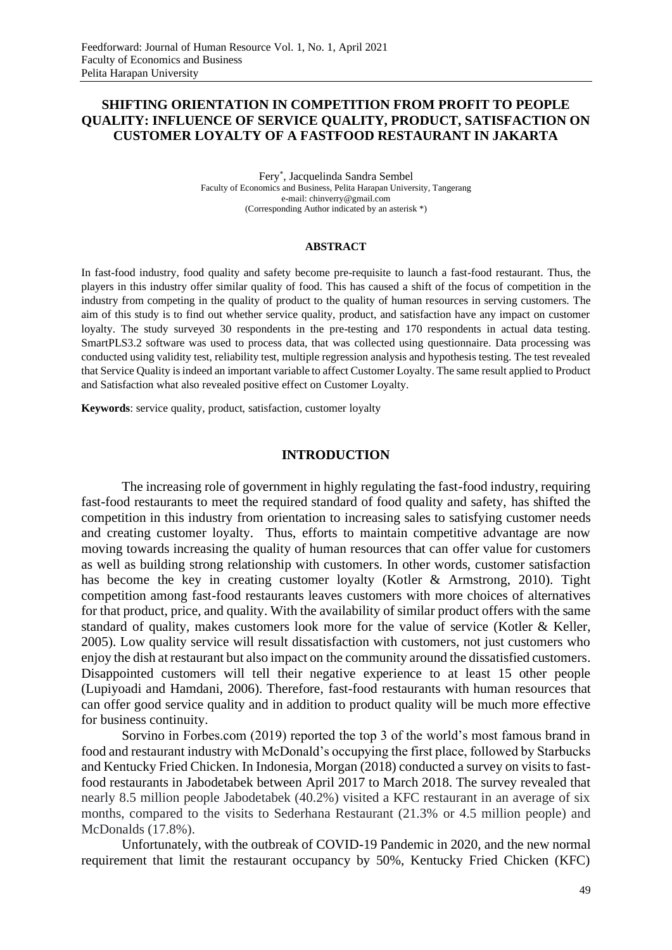## **SHIFTING ORIENTATION IN COMPETITION FROM PROFIT TO PEOPLE QUALITY: INFLUENCE OF SERVICE QUALITY, PRODUCT, SATISFACTION ON CUSTOMER LOYALTY OF A FASTFOOD RESTAURANT IN JAKARTA**

Fery\* , Jacquelinda Sandra Sembel Faculty of Economics and Business, Pelita Harapan University, Tangerang e-mail: chinverry@gmail.com (Corresponding Author indicated by an asterisk \*)

#### **ABSTRACT**

In fast-food industry, food quality and safety become pre-requisite to launch a fast-food restaurant. Thus, the players in this industry offer similar quality of food. This has caused a shift of the focus of competition in the industry from competing in the quality of product to the quality of human resources in serving customers. The aim of this study is to find out whether service quality, product, and satisfaction have any impact on customer loyalty. The study surveyed 30 respondents in the pre-testing and 170 respondents in actual data testing. SmartPLS3.2 software was used to process data, that was collected using questionnaire. Data processing was conducted using validity test, reliability test, multiple regression analysis and hypothesis testing. The test revealed that Service Quality is indeed an important variable to affect Customer Loyalty. The same result applied to Product and Satisfaction what also revealed positive effect on Customer Loyalty.

**Keywords**: service quality, product, satisfaction, customer loyalty

## **INTRODUCTION**

The increasing role of government in highly regulating the fast-food industry, requiring fast-food restaurants to meet the required standard of food quality and safety, has shifted the competition in this industry from orientation to increasing sales to satisfying customer needs and creating customer loyalty. Thus, efforts to maintain competitive advantage are now moving towards increasing the quality of human resources that can offer value for customers as well as building strong relationship with customers. In other words, customer satisfaction has become the key in creating customer loyalty (Kotler & Armstrong, 2010). Tight competition among fast-food restaurants leaves customers with more choices of alternatives for that product, price, and quality. With the availability of similar product offers with the same standard of quality, makes customers look more for the value of service (Kotler & Keller, 2005). Low quality service will result dissatisfaction with customers, not just customers who enjoy the dish at restaurant but also impact on the community around the dissatisfied customers. Disappointed customers will tell their negative experience to at least 15 other people (Lupiyoadi and Hamdani, 2006). Therefore, fast-food restaurants with human resources that can offer good service quality and in addition to product quality will be much more effective for business continuity.

Sorvino in Forbes.com (2019) reported the top 3 of the world's most famous brand in food and restaurant industry with McDonald's occupying the first place, followed by Starbucks and Kentucky Fried Chicken. In Indonesia, Morgan (2018) conducted a survey on visits to fastfood restaurants in Jabodetabek between April 2017 to March 2018. The survey revealed that nearly 8.5 million people Jabodetabek (40.2%) visited a KFC restaurant in an average of six months, compared to the visits to Sederhana Restaurant (21.3% or 4.5 million people) and McDonalds (17.8%).

Unfortunately, with the outbreak of COVID-19 Pandemic in 2020, and the new normal requirement that limit the restaurant occupancy by 50%, Kentucky Fried Chicken (KFC)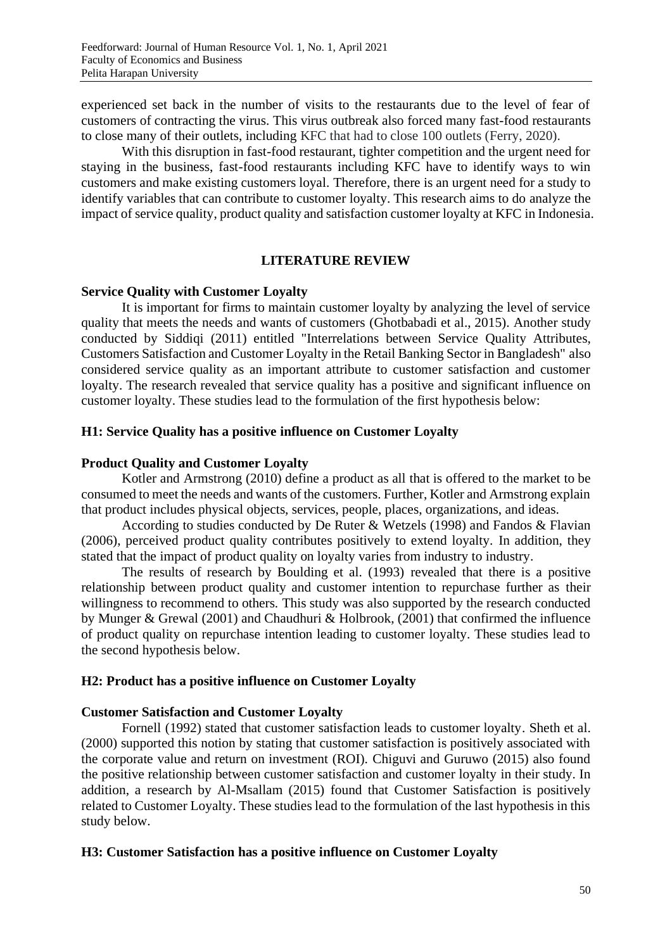experienced set back in the number of visits to the restaurants due to the level of fear of customers of contracting the virus. This virus outbreak also forced many fast-food restaurants to close many of their outlets, including KFC that had to close 100 outlets (Ferry, 2020).

With this disruption in fast-food restaurant, tighter competition and the urgent need for staying in the business, fast-food restaurants including KFC have to identify ways to win customers and make existing customers loyal. Therefore, there is an urgent need for a study to identify variables that can contribute to customer loyalty. This research aims to do analyze the impact of service quality, product quality and satisfaction customer loyalty at KFC in Indonesia.

## **LITERATURE REVIEW**

## **Service Quality with Customer Loyalty**

It is important for firms to maintain customer loyalty by analyzing the level of service quality that meets the needs and wants of customers (Ghotbabadi et al., 2015). Another study conducted by Siddiqi (2011) entitled "Interrelations between Service Quality Attributes, Customers Satisfaction and Customer Loyalty in the Retail Banking Sector in Bangladesh" also considered service quality as an important attribute to customer satisfaction and customer loyalty. The research revealed that service quality has a positive and significant influence on customer loyalty. These studies lead to the formulation of the first hypothesis below:

## **H1: Service Quality has a positive influence on Customer Loyalty**

## **Product Quality and Customer Loyalty**

Kotler and Armstrong (2010) define a product as all that is offered to the market to be consumed to meet the needs and wants of the customers. Further, Kotler and Armstrong explain that product includes physical objects, services, people, places, organizations, and ideas.

According to studies conducted by De Ruter & Wetzels (1998) and Fandos & Flavian (2006), perceived product quality contributes positively to extend loyalty. In addition, they stated that the impact of product quality on loyalty varies from industry to industry.

The results of research by Boulding et al. (1993) revealed that there is a positive relationship between product quality and customer intention to repurchase further as their willingness to recommend to others. This study was also supported by the research conducted by Munger & Grewal (2001) and Chaudhuri & Holbrook, (2001) that confirmed the influence of product quality on repurchase intention leading to customer loyalty. These studies lead to the second hypothesis below.

## **H2: Product has a positive influence on Customer Loyalty**

## **Customer Satisfaction and Customer Loyalty**

Fornell (1992) stated that customer satisfaction leads to customer loyalty. Sheth et al. (2000) supported this notion by stating that customer satisfaction is positively associated with the corporate value and return on investment (ROI). Chiguvi and Guruwo (2015) also found the positive relationship between customer satisfaction and customer loyalty in their study. In addition, a research by Al-Msallam (2015) found that Customer Satisfaction is positively related to Customer Loyalty. These studies lead to the formulation of the last hypothesis in this study below.

## **H3: Customer Satisfaction has a positive influence on Customer Loyalty**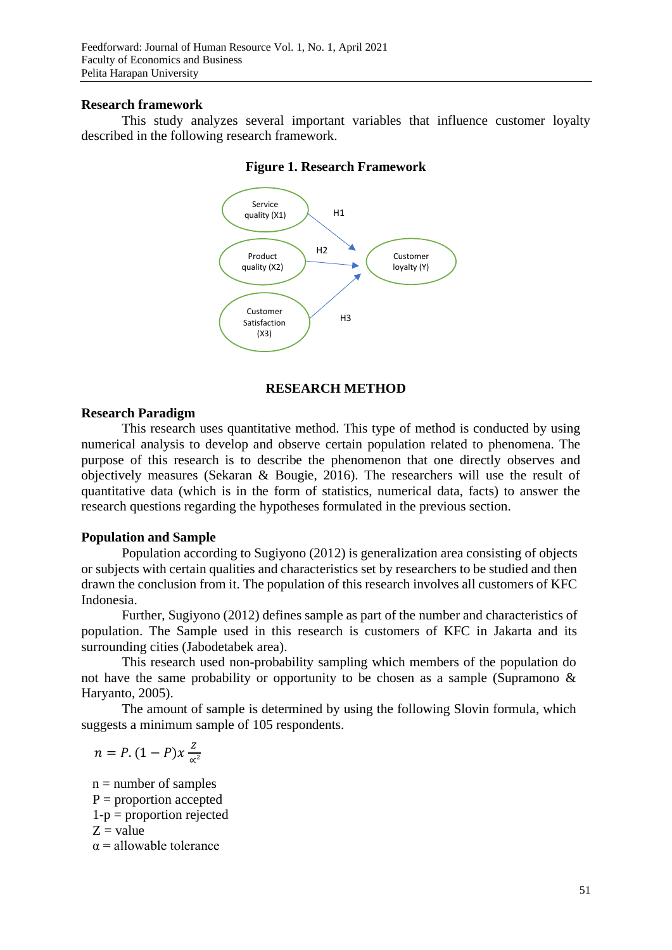### **Research framework**

This study analyzes several important variables that influence customer loyalty described in the following research framework.



### **Figure 1. Research Framework**

## **RESEARCH METHOD**

### **Research Paradigm**

This research uses quantitative method. This type of method is conducted by using numerical analysis to develop and observe certain population related to phenomena. The purpose of this research is to describe the phenomenon that one directly observes and objectively measures (Sekaran & Bougie, 2016). The researchers will use the result of quantitative data (which is in the form of statistics, numerical data, facts) to answer the research questions regarding the hypotheses formulated in the previous section.

### **Population and Sample**

Population according to Sugiyono (2012) is generalization area consisting of objects or subjects with certain qualities and characteristics set by researchers to be studied and then drawn the conclusion from it. The population of this research involves all customers of KFC Indonesia.

Further, Sugiyono (2012) defines sample as part of the number and characteristics of population. The Sample used in this research is customers of KFC in Jakarta and its surrounding cities (Jabodetabek area).

This research used non-probability sampling which members of the population do not have the same probability or opportunity to be chosen as a sample (Supramono & Haryanto, 2005).

The amount of sample is determined by using the following Slovin formula, which suggests a minimum sample of 105 respondents.

 $n = P$ .  $(1 - P)x \frac{Z}{Z}$ ∝²

 $n =$  number of samples  $P =$  proportion accepted 1-p = proportion rejected  $Z =$  value  $\alpha$  = allowable tolerance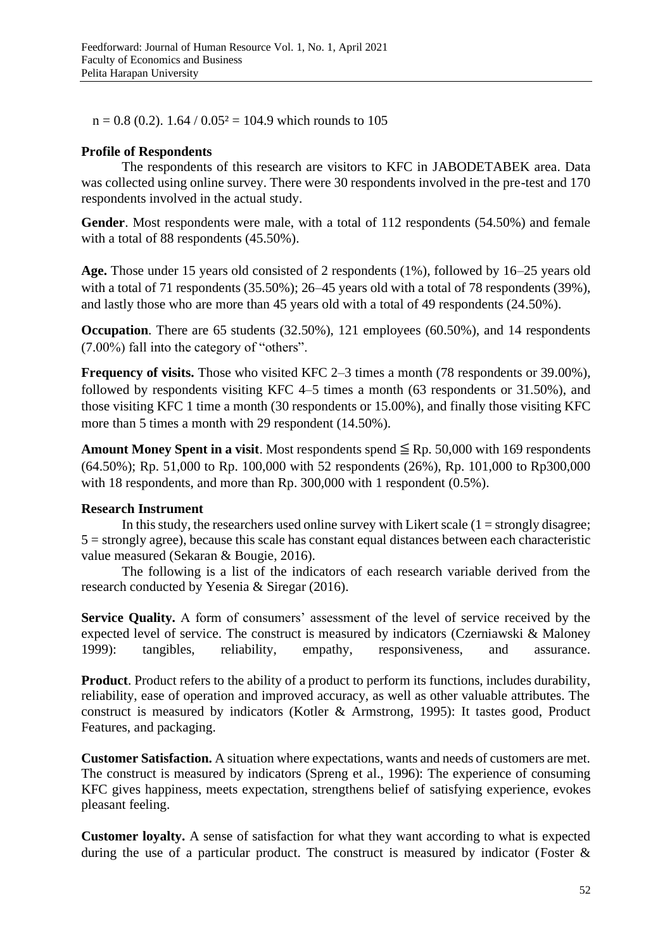$n = 0.8$  (0.2). 1.64 / 0.05<sup>2</sup> = 104.9 which rounds to 105

## **Profile of Respondents**

The respondents of this research are visitors to KFC in JABODETABEK area. Data was collected using online survey. There were 30 respondents involved in the pre-test and 170 respondents involved in the actual study.

**Gender**. Most respondents were male, with a total of 112 respondents (54.50%) and female with a total of 88 respondents (45.50%).

**Age.** Those under 15 years old consisted of 2 respondents (1%), followed by 16–25 years old with a total of 71 respondents (35.50%); 26–45 years old with a total of 78 respondents (39%), and lastly those who are more than 45 years old with a total of 49 respondents (24.50%).

**Occupation**. There are 65 students (32.50%), 121 employees (60.50%), and 14 respondents (7.00%) fall into the category of "others".

**Frequency of visits.** Those who visited KFC 2–3 times a month (78 respondents or 39.00%), followed by respondents visiting KFC 4–5 times a month (63 respondents or 31.50%), and those visiting KFC 1 time a month (30 respondents or 15.00%), and finally those visiting KFC more than 5 times a month with 29 respondent (14.50%).

**Amount Money Spent in a visit**. Most respondents spend  $\leq$  Rp. 50,000 with 169 respondents (64.50%); Rp. 51,000 to Rp. 100,000 with 52 respondents (26%), Rp. 101,000 to Rp300,000 with 18 respondents, and more than Rp. 300,000 with 1 respondent (0.5%).

## **Research Instrument**

In this study, the researchers used online survey with Likert scale  $(1 =$  strongly disagree;  $5 =$  strongly agree), because this scale has constant equal distances between each characteristic value measured (Sekaran & Bougie, 2016).

The following is a list of the indicators of each research variable derived from the research conducted by Yesenia & Siregar (2016).

**Service Quality.** A form of consumers' assessment of the level of service received by the expected level of service. The construct is measured by indicators (Czerniawski & Maloney 1999): tangibles, reliability, empathy, responsiveness, and assurance.

**Product**. Product refers to the ability of a product to perform its functions, includes durability, reliability, ease of operation and improved accuracy, as well as other valuable attributes. The construct is measured by indicators (Kotler & Armstrong, 1995): It tastes good, Product Features, and packaging.

**Customer Satisfaction.** A situation where expectations, wants and needs of customers are met. The construct is measured by indicators (Spreng et al., 1996): The experience of consuming KFC gives happiness, meets expectation, strengthens belief of satisfying experience, evokes pleasant feeling.

**Customer loyalty.** A sense of satisfaction for what they want according to what is expected during the use of a particular product. The construct is measured by indicator (Foster &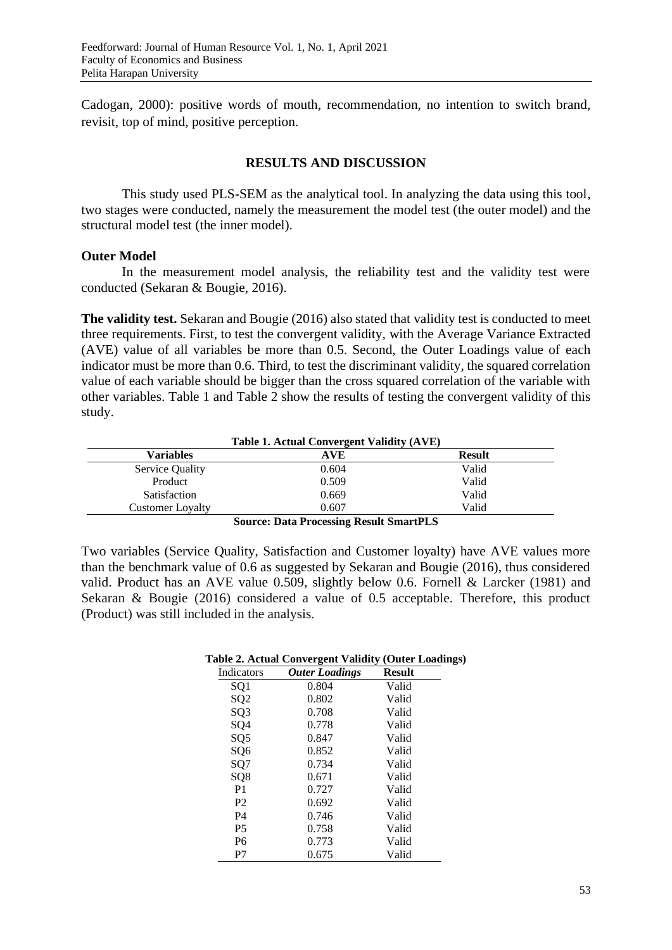Cadogan, 2000): positive words of mouth, recommendation, no intention to switch brand, revisit, top of mind, positive perception.

## **RESULTS AND DISCUSSION**

This study used PLS-SEM as the analytical tool. In analyzing the data using this tool, two stages were conducted, namely the measurement the model test (the outer model) and the structural model test (the inner model).

## **Outer Model**

In the measurement model analysis, the reliability test and the validity test were conducted (Sekaran & Bougie, 2016).

**The validity test.** Sekaran and Bougie (2016) also stated that validity test is conducted to meet three requirements. First, to test the convergent validity, with the Average Variance Extracted (AVE) value of all variables be more than 0.5. Second, the Outer Loadings value of each indicator must be more than 0.6. Third, to test the discriminant validity, the squared correlation value of each variable should be bigger than the cross squared correlation of the variable with other variables. Table 1 and Table 2 show the results of testing the convergent validity of this study.

| Table 1. Actual Convergent Validity (AVE) |                                         |               |
|-------------------------------------------|-----------------------------------------|---------------|
| <b>Variables</b>                          | AVE                                     | <b>Result</b> |
| <b>Service Quality</b>                    | 0.604                                   | Valid         |
| Product                                   | 0.509                                   | Valid         |
| Satisfaction                              | 0.669                                   | Valid         |
| <b>Customer Loyalty</b>                   | 0.607                                   | Valid         |
|                                           | Course Data Dreasesing Decult Crown DLC |               |

#### **Source: Data Processing Result SmartPLS**

Two variables (Service Quality, Satisfaction and Customer loyalty) have AVE values more than the benchmark value of 0.6 as suggested by Sekaran and Bougie (2016), thus considered valid. Product has an AVE value 0.509, slightly below 0.6. Fornell & Larcker (1981) and Sekaran & Bougie (2016) considered a value of 0.5 acceptable. Therefore, this product (Product) was still included in the analysis.

|                 | Table 2. Actual Convergent Validity (Outer Loading |               |  |
|-----------------|----------------------------------------------------|---------------|--|
| Indicators      | <b>Outer Loadings</b>                              | <b>Result</b> |  |
| SQ1             | 0.804                                              | Valid         |  |
| SQ <sub>2</sub> | 0.802                                              | Valid         |  |
| SQ <sub>3</sub> | 0.708                                              | Valid         |  |
| SQ4             | 0.778                                              | Valid         |  |
| SQ <sub>5</sub> | 0.847                                              | Valid         |  |
| SQ <sub>6</sub> | 0.852                                              | Valid         |  |
| SQ7             | 0.734                                              | Valid         |  |
| SQ <sub>8</sub> | 0.671                                              | Valid         |  |
| P <sub>1</sub>  | 0.727                                              | Valid         |  |
| P <sub>2</sub>  | 0.692                                              | Valid         |  |
| P <sub>4</sub>  | 0.746                                              | Valid         |  |
| P <sub>5</sub>  | 0.758                                              | Valid         |  |
| P <sub>6</sub>  | 0.773                                              | Valid         |  |
| P7              | 0.675                                              | Valid         |  |

# **Table 2. Actual Convergent Validity (Outer Loadings)**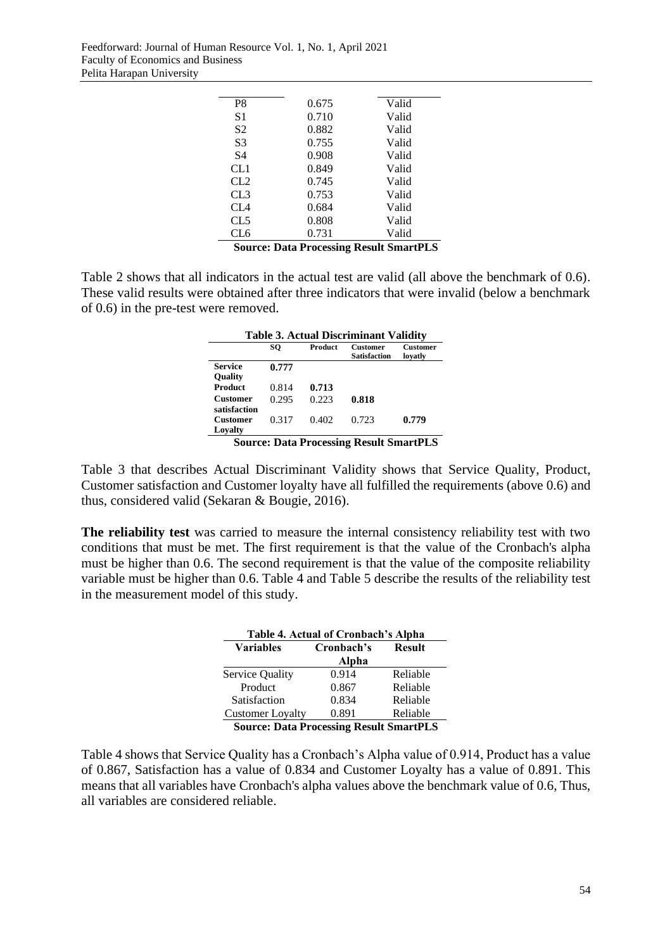| P8              | 0.675 | Valid |
|-----------------|-------|-------|
| S1              | 0.710 | Valid |
| S <sub>2</sub>  | 0.882 | Valid |
| S3              | 0.755 | Valid |
| S4              | 0.908 | Valid |
| CL1             | 0.849 | Valid |
| CL <sub>2</sub> | 0.745 | Valid |
| CL <sub>3</sub> | 0.753 | Valid |
| CL4             | 0.684 | Valid |
| CL5             | 0.808 | Valid |
| CL6             | 0.731 | Valid |

**Source: Data Processing Result SmartPLS**

Table 2 shows that all indicators in the actual test are valid (all above the benchmark of 0.6). These valid results were obtained after three indicators that were invalid (below a benchmark of 0.6) in the pre-test were removed.

| <b>Table 3. Actual Discriminant Validity</b> |       |                |                                        |                     |
|----------------------------------------------|-------|----------------|----------------------------------------|---------------------|
|                                              | SO    | <b>Product</b> | <b>Customer</b><br><b>Satisfaction</b> | Customer<br>lovatlv |
| <b>Service</b><br><b>Ouality</b>             | 0.777 |                |                                        |                     |
| <b>Product</b>                               | 0.814 | 0.713          |                                        |                     |
| Customer<br>satisfaction                     | 0.295 | 0.223          | 0.818                                  |                     |
| Customer<br>Lovalty                          | 0.317 | 0.402          | 0.723                                  | 0.779               |

**Source: Data Processing Result SmartPLS**

Table 3 that describes Actual Discriminant Validity shows that Service Quality, Product, Customer satisfaction and Customer loyalty have all fulfilled the requirements (above 0.6) and thus, considered valid (Sekaran & Bougie, 2016).

**The reliability test** was carried to measure the internal consistency reliability test with two conditions that must be met. The first requirement is that the value of the Cronbach's alpha must be higher than 0.6. The second requirement is that the value of the composite reliability variable must be higher than 0.6. Table 4 and Table 5 describe the results of the reliability test in the measurement model of this study.

| Table 4. Actual of Cronbach's Alpha |                                         |          |  |
|-------------------------------------|-----------------------------------------|----------|--|
| <b>Variables</b>                    | Cronbach's<br><b>Result</b>             |          |  |
|                                     | Alpha                                   |          |  |
| Service Quality                     | 0.914                                   | Reliable |  |
| Product                             | 0.867                                   | Reliable |  |
| Satisfaction                        | 0.834                                   | Reliable |  |
| <b>Customer Loyalty</b>             | 0.891                                   | Reliable |  |
|                                     | Course Data Dreassairs Desult Smort DLS |          |  |

**Source: Data Processing Result SmartPLS**

Table 4 shows that Service Quality has a Cronbach's Alpha value of 0.914, Product has a value of 0.867, Satisfaction has a value of 0.834 and Customer Loyalty has a value of 0.891. This means that all variables have Cronbach's alpha values above the benchmark value of 0.6, Thus, all variables are considered reliable.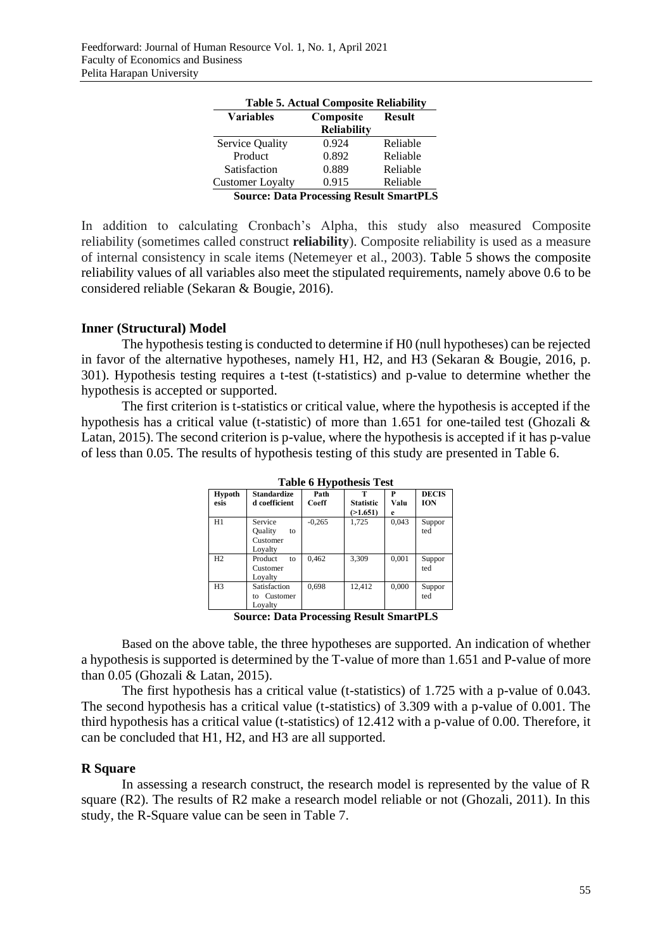| <b>Table 5. Actual Composite Reliability</b> |                                                |          |  |
|----------------------------------------------|------------------------------------------------|----------|--|
| <b>Variables</b>                             | Composite                                      |          |  |
|                                              | <b>Reliability</b>                             |          |  |
| Service Quality                              | 0.924                                          | Reliable |  |
| Product                                      | 0.892                                          | Reliable |  |
| Satisfaction                                 | 0.889                                          | Reliable |  |
| <b>Customer Loyalty</b>                      | 0.915                                          | Reliable |  |
|                                              | <b>Source: Data Processing Result SmartPLS</b> |          |  |

In addition to calculating Cronbach's Alpha, this study also measured Composite reliability (sometimes called construct **reliability**). Composite reliability is used as a measure of internal consistency in scale items (Netemeyer et al., 2003). Table 5 shows the composite reliability values of all variables also meet the stipulated requirements, namely above 0.6 to be considered reliable (Sekaran & Bougie, 2016).

## **Inner (Structural) Model**

The hypothesis testing is conducted to determine if H0 (null hypotheses) can be rejected in favor of the alternative hypotheses, namely H1, H2, and H3 (Sekaran & Bougie, 2016, p. 301). Hypothesis testing requires a t-test (t-statistics) and p-value to determine whether the hypothesis is accepted or supported.

The first criterion is t-statistics or critical value, where the hypothesis is accepted if the hypothesis has a critical value (t-statistic) of more than 1.651 for one-tailed test (Ghozali & Latan, 2015). The second criterion is p-value, where the hypothesis is accepted if it has p-value of less than 0.05. The results of hypothesis testing of this study are presented in Table 6.

| <b>Hypoth</b><br>esis | <b>Standardize</b><br>d coefficient             | - J F<br>Path<br>Coeff | т<br><b>Statistic</b><br>(>1.651) | P<br>Valu<br>e | <b>DECIS</b><br><b>ION</b> |
|-----------------------|-------------------------------------------------|------------------------|-----------------------------------|----------------|----------------------------|
| H1                    | Service<br>Ouality<br>to<br>Customer<br>Loyalty | $-0,265$               | 1,725                             | 0.043          | Suppor<br>ted              |
| H2                    | Product<br>to<br>Customer<br>Loyalty            | 0,462                  | 3,309                             | 0,001          | Suppor<br>ted              |
| H <sub>3</sub>        | Satisfaction<br>Customer<br>tο<br>Loyalty       | 0,698                  | 12.412                            | 0,000          | Suppor<br>ted              |

**Table 6 Hypothesis Test**

**Source: Data Processing Result SmartPLS**

Based on the above table, the three hypotheses are supported. An indication of whether a hypothesis is supported is determined by the T-value of more than 1.651 and P-value of more than 0.05 (Ghozali & Latan, 2015).

The first hypothesis has a critical value (t-statistics) of 1.725 with a p-value of 0.043. The second hypothesis has a critical value (t-statistics) of 3.309 with a p-value of 0.001. The third hypothesis has a critical value (t-statistics) of 12.412 with a p-value of 0.00. Therefore, it can be concluded that H1, H2, and H3 are all supported.

### **R Square**

In assessing a research construct, the research model is represented by the value of R square (R2). The results of R2 make a research model reliable or not (Ghozali, 2011). In this study, the R-Square value can be seen in Table 7.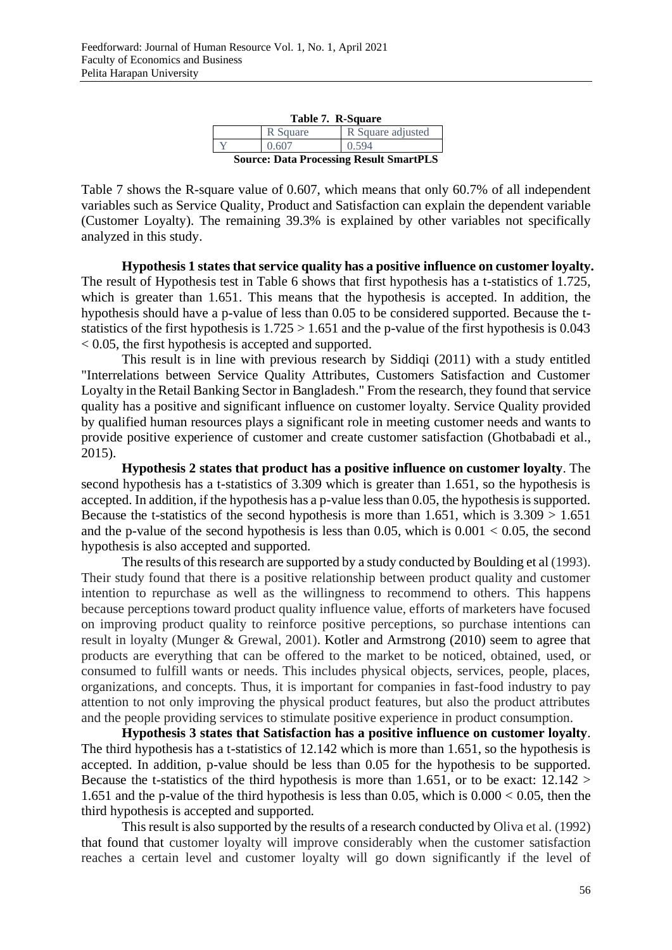| Table 7. R-Square                              |          |                   |
|------------------------------------------------|----------|-------------------|
|                                                | R Square | R Square adjusted |
|                                                | 0.607    | 0.594             |
| <b>Source: Data Processing Result SmartPLS</b> |          |                   |

**Table 7. R-Square**

Table 7 shows the R-square value of 0.607, which means that only 60.7% of all independent variables such as Service Quality, Product and Satisfaction can explain the dependent variable (Customer Loyalty). The remaining 39.3% is explained by other variables not specifically analyzed in this study.

**Hypothesis 1 states that service quality has a positive influence on customer loyalty.** The result of Hypothesis test in Table 6 shows that first hypothesis has a t-statistics of 1.725, which is greater than 1.651. This means that the hypothesis is accepted. In addition, the hypothesis should have a p-value of less than 0.05 to be considered supported. Because the tstatistics of the first hypothesis is  $1.725 > 1.651$  and the p-value of the first hypothesis is 0.043 < 0.05, the first hypothesis is accepted and supported.

This result is in line with previous research by Siddiqi (2011) with a study entitled "Interrelations between Service Quality Attributes, Customers Satisfaction and Customer Loyalty in the Retail Banking Sector in Bangladesh." From the research, they found that service quality has a positive and significant influence on customer loyalty. Service Quality provided by qualified human resources plays a significant role in meeting customer needs and wants to provide positive experience of customer and create customer satisfaction (Ghotbabadi et al., 2015).

**Hypothesis 2 states that product has a positive influence on customer loyalty**. The second hypothesis has a t-statistics of 3.309 which is greater than 1.651, so the hypothesis is accepted. In addition, if the hypothesis has a p-value less than 0.05, the hypothesis is supported. Because the t-statistics of the second hypothesis is more than 1.651, which is  $3.309 > 1.651$ and the p-value of the second hypothesis is less than 0.05, which is  $0.001 < 0.05$ , the second hypothesis is also accepted and supported.

The results of this research are supported by a study conducted by Boulding et al (1993). Their study found that there is a positive relationship between product quality and customer intention to repurchase as well as the willingness to recommend to others. This happens because perceptions toward product quality influence value, efforts of marketers have focused on improving product quality to reinforce positive perceptions, so purchase intentions can result in loyalty (Munger & Grewal, 2001). Kotler and Armstrong (2010) seem to agree that products are everything that can be offered to the market to be noticed, obtained, used, or consumed to fulfill wants or needs. This includes physical objects, services, people, places, organizations, and concepts. Thus, it is important for companies in fast-food industry to pay attention to not only improving the physical product features, but also the product attributes and the people providing services to stimulate positive experience in product consumption.

**Hypothesis 3 states that Satisfaction has a positive influence on customer loyalty**. The third hypothesis has a t-statistics of 12.142 which is more than 1.651, so the hypothesis is accepted. In addition, p-value should be less than 0.05 for the hypothesis to be supported. Because the t-statistics of the third hypothesis is more than 1.651, or to be exact:  $12.142 >$ 1.651 and the p-value of the third hypothesis is less than 0.05, which is  $0.000 < 0.05$ , then the third hypothesis is accepted and supported.

This result is also supported by the results of a research conducted by Oliva et al. (1992) that found that customer loyalty will improve considerably when the customer satisfaction reaches a certain level and customer loyalty will go down significantly if the level of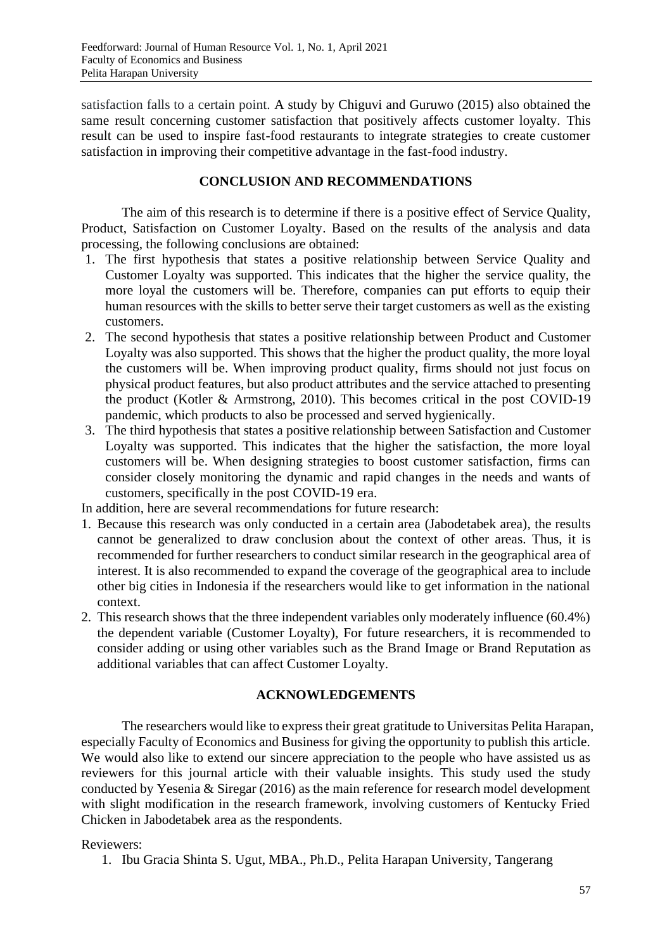satisfaction falls to a certain point. A study by Chiguvi and Guruwo (2015) also obtained the same result concerning customer satisfaction that positively affects customer loyalty. This result can be used to inspire fast-food restaurants to integrate strategies to create customer satisfaction in improving their competitive advantage in the fast-food industry.

## **CONCLUSION AND RECOMMENDATIONS**

The aim of this research is to determine if there is a positive effect of Service Quality, Product, Satisfaction on Customer Loyalty. Based on the results of the analysis and data processing, the following conclusions are obtained:

- 1. The first hypothesis that states a positive relationship between Service Quality and Customer Loyalty was supported. This indicates that the higher the service quality, the more loyal the customers will be. Therefore, companies can put efforts to equip their human resources with the skills to better serve their target customers as well as the existing customers.
- 2. The second hypothesis that states a positive relationship between Product and Customer Loyalty was also supported. This shows that the higher the product quality, the more loyal the customers will be. When improving product quality, firms should not just focus on physical product features, but also product attributes and the service attached to presenting the product (Kotler & Armstrong, 2010). This becomes critical in the post COVID-19 pandemic, which products to also be processed and served hygienically.
- 3. The third hypothesis that states a positive relationship between Satisfaction and Customer Loyalty was supported. This indicates that the higher the satisfaction, the more loyal customers will be. When designing strategies to boost customer satisfaction, firms can consider closely monitoring the dynamic and rapid changes in the needs and wants of customers, specifically in the post COVID-19 era.

In addition, here are several recommendations for future research:

- 1. Because this research was only conducted in a certain area (Jabodetabek area), the results cannot be generalized to draw conclusion about the context of other areas. Thus, it is recommended for further researchers to conduct similar research in the geographical area of interest. It is also recommended to expand the coverage of the geographical area to include other big cities in Indonesia if the researchers would like to get information in the national context.
- 2. This research shows that the three independent variables only moderately influence (60.4%) the dependent variable (Customer Loyalty), For future researchers, it is recommended to consider adding or using other variables such as the Brand Image or Brand Reputation as additional variables that can affect Customer Loyalty.

# **ACKNOWLEDGEMENTS**

The researchers would like to express their great gratitude to Universitas Pelita Harapan, especially Faculty of Economics and Business for giving the opportunity to publish this article. We would also like to extend our sincere appreciation to the people who have assisted us as reviewers for this journal article with their valuable insights. This study used the study conducted by Yesenia & Siregar (2016) as the main reference for research model development with slight modification in the research framework, involving customers of Kentucky Fried Chicken in Jabodetabek area as the respondents.

# Reviewers:

1. Ibu Gracia Shinta S. Ugut, MBA., Ph.D., Pelita Harapan University, Tangerang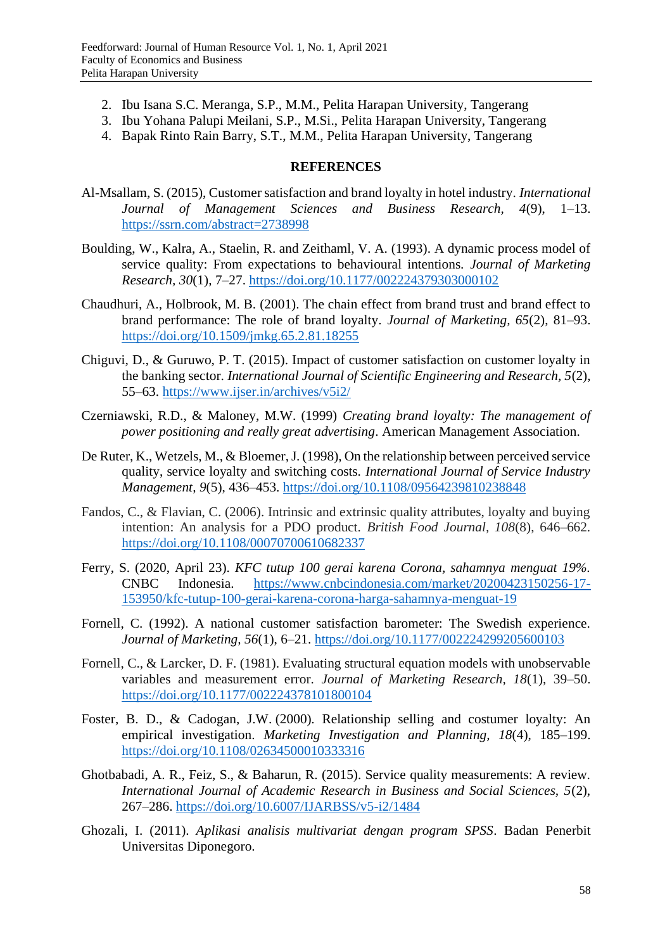- 2. Ibu Isana S.C. Meranga, S.P., M.M., Pelita Harapan University, Tangerang
- 3. Ibu Yohana Palupi Meilani, S.P., M.Si., Pelita Harapan University, Tangerang
- 4. Bapak Rinto Rain Barry, S.T., M.M., Pelita Harapan University, Tangerang

## **REFERENCES**

- Al-Msallam, S. (2015), Customer satisfaction and brand loyalty in hotel industry. *International Journal of Management Sciences and Business Research, 4*(9), 1–13. <https://ssrn.com/abstract=2738998>
- Boulding, W., Kalra, A., Staelin, R. and Zeithaml, V. A. (1993). A dynamic process model of service quality: From expectations to behavioural intentions. *Journal of Marketing Research, 30*(1), 7–27.<https://doi.org/10.1177/002224379303000102>
- Chaudhuri, A., Holbrook, M. B. (2001). The chain effect from brand trust and brand effect to brand performance: The role of brand loyalty. *Journal of Marketing, 65*(2), 81–93. <https://doi.org/10.1509/jmkg.65.2.81.18255>
- Chiguvi, D., & Guruwo, P. T. (2015). Impact of customer satisfaction on customer loyalty in the banking sector. *International Journal of Scientific Engineering and Research, 5*(2), 55–63.<https://www.ijser.in/archives/v5i2/>
- Czerniawski, R.D., & Maloney, M.W. (1999) *Creating brand loyalty: The management of power positioning and really great advertising*. American Management Association.
- De Ruter, K., Wetzels, M., & Bloemer, J. (1998), On the relationship between perceived service quality, service loyalty and switching costs. *International Journal of Service Industry Management, 9*(5), 436–453.<https://doi.org/10.1108/09564239810238848>
- Fandos, C., & Flavian, C. (2006). Intrinsic and extrinsic quality attributes, loyalty and buying intention: An analysis for a PDO product. *British Food Journal, 108*(8), 646–662. <https://doi.org/10.1108/00070700610682337>
- Ferry, S. (2020, April 23). *KFC tutup 100 gerai karena Corona, sahamnya menguat 19%.* CNBC Indonesia. [https://www.cnbcindonesia.com/market/20200423150256-17-](https://www.cnbcindonesia.com/market/20200423150256-17-153950/kfc-tutup-100-gerai-karena-corona-harga-sahamnya-menguat-19) [153950/kfc-tutup-100-gerai-karena-corona-harga-sahamnya-menguat-19](https://www.cnbcindonesia.com/market/20200423150256-17-153950/kfc-tutup-100-gerai-karena-corona-harga-sahamnya-menguat-19)
- Fornell, C. (1992). A national customer satisfaction barometer: The Swedish experience. *Journal of Marketing, 56*(1), 6–21.<https://doi.org/10.1177/002224299205600103>
- Fornell, C., & Larcker, D. F. (1981). Evaluating structural equation models with unobservable variables and measurement error. *Journal of Marketing Research, 18*(1), 39–50. <https://doi.org/10.1177/002224378101800104>
- Foster, B. D., & Cadogan, J.W. (2000). Relationship selling and costumer loyalty: An empirical investigation. *Marketing Investigation and Planning, 18*(4), 185–199. <https://doi.org/10.1108/02634500010333316>
- Ghotbabadi, A. R., Feiz, S., & Baharun, R. (2015). Service quality measurements: A review. *International Journal of Academic Research in Business and Social Sciences, 5*(2), 267–286. <https://doi.org/10.6007/IJARBSS/v5-i2/1484>
- Ghozali, I. (2011). *Aplikasi analisis multivariat dengan program SPSS*. Badan Penerbit Universitas Diponegoro.